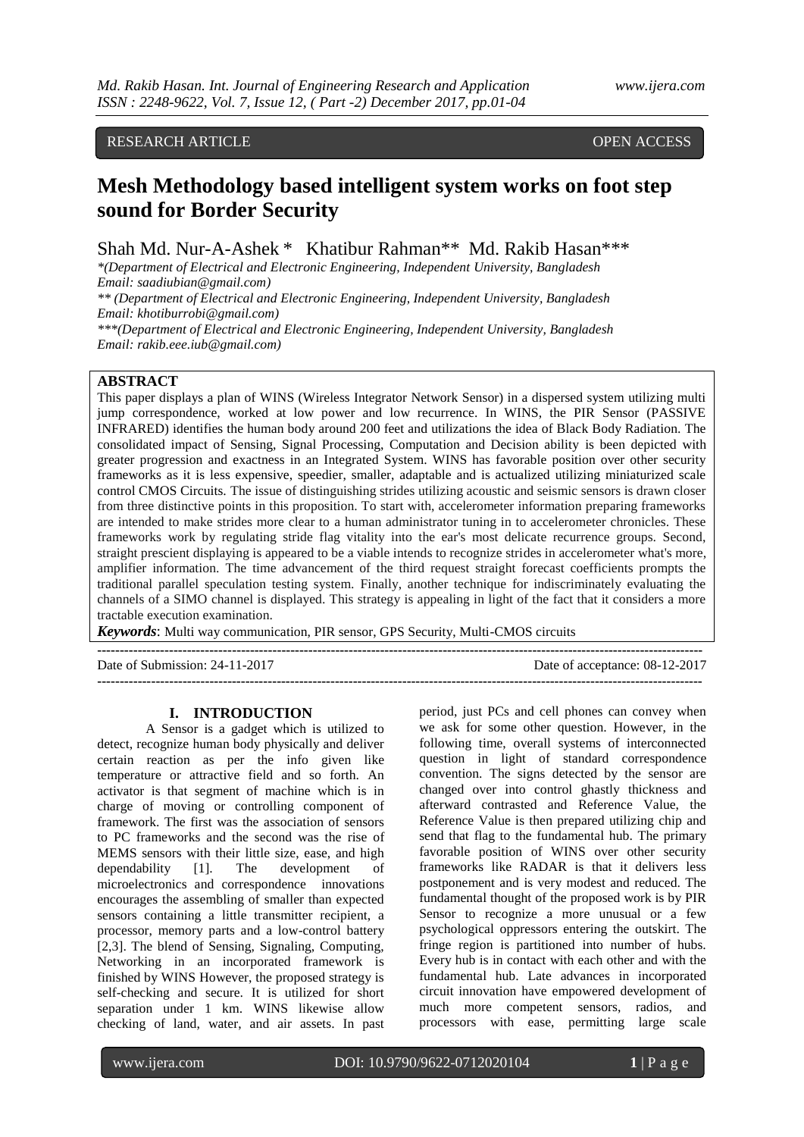## RESEARCH ARTICLE OPEN ACCESS

# **Mesh [Methodology](https://www.researchgate.net/project/An-intelligent-system-based-on-foot-step-sound) based intelligent system works on foot step [sound](https://www.researchgate.net/project/An-intelligent-system-based-on-foot-step-sound) for Border Security**

Shah Md. Nur-A-Ashek \* Khatibur Rahman\*\* Md. Rakib Hasan\*\*\*

*\*(Department of Electrical and Electronic Engineering, Independent University, Bangladesh Email: saadiubian@gmail.com)*

*\*\* (Department of Electrical and Electronic Engineering, Independent University, Bangladesh Email: khotiburrobi@gmail.com)*

*\*\*\*(Department of Electrical and Electronic Engineering, Independent University, Bangladesh Email: rakib.eee.iub@gmail.com)*

## **ABSTRACT**

This paper displays a plan of WINS (Wireless Integrator Network Sensor) in a dispersed system utilizing multi jump correspondence, worked at low power and low recurrence. In WINS, the PIR Sensor (PASSIVE INFRARED) identifies the human body around 200 feet and utilizations the idea of Black Body Radiation. The consolidated impact of Sensing, Signal Processing, Computation and Decision ability is been depicted with greater progression and exactness in an Integrated System. WINS has favorable position over other security frameworks as it is less expensive, speedier, smaller, adaptable and is actualized utilizing miniaturized scale control CMOS Circuits. The issue of distinguishing strides utilizing acoustic and seismic sensors is drawn closer from three distinctive points in this proposition. To start with, accelerometer information preparing frameworks are intended to make strides more clear to a human administrator tuning in to accelerometer chronicles. These frameworks work by regulating stride flag vitality into the ear's most delicate recurrence groups. Second, straight prescient displaying is appeared to be a viable intends to recognize strides in accelerometer what's more, amplifier information. The time advancement of the third request straight forecast coefficients prompts the traditional parallel speculation testing system. Finally, another technique for indiscriminately evaluating the channels of a SIMO channel is displayed. This strategy is appealing in light of the fact that it considers a more tractable execution examination.

*Keywords*: Multi way communication, PIR sensor, GPS Security, Multi-CMOS circuits

| Date of Submission: $24-11-2017$ | Date of acceptance: 08-12-2017 |
|----------------------------------|--------------------------------|
|                                  |                                |

#### **I. INTRODUCTION**

A Sensor is a gadget which is utilized to detect, recognize human body physically and deliver certain reaction as per the info given like temperature or attractive field and so forth. An activator is that segment of machine which is in charge of moving or controlling component of framework. The first was the association of sensors to PC frameworks and the second was the rise of MEMS sensors with their little size, ease, and high dependability [1]. The development of microelectronics and correspondence innovations encourages the assembling of smaller than expected sensors containing a little transmitter recipient, a processor, memory parts and a low-control battery [2,3]. The blend of Sensing, Signaling, Computing, Networking in an incorporated framework is finished by WINS However, the proposed strategy is self-checking and secure. It is utilized for short separation under 1 km. WINS likewise allow checking of land, water, and air assets. In past

period, just PCs and cell phones can convey when we ask for some other question. However, in the following time, overall systems of interconnected question in light of standard correspondence convention. The signs detected by the sensor are changed over into control ghastly thickness and afterward contrasted and Reference Value, the Reference Value is then prepared utilizing chip and send that flag to the fundamental hub. The primary favorable position of WINS over other security frameworks like RADAR is that it delivers less postponement and is very modest and reduced. The fundamental thought of the proposed work is by PIR Sensor to recognize a more unusual or a few psychological oppressors entering the outskirt. The fringe region is partitioned into number of hubs. Every hub is in contact with each other and with the fundamental hub. Late advances in incorporated circuit innovation have empowered development of much more competent sensors, radios, and processors with ease, permitting large scale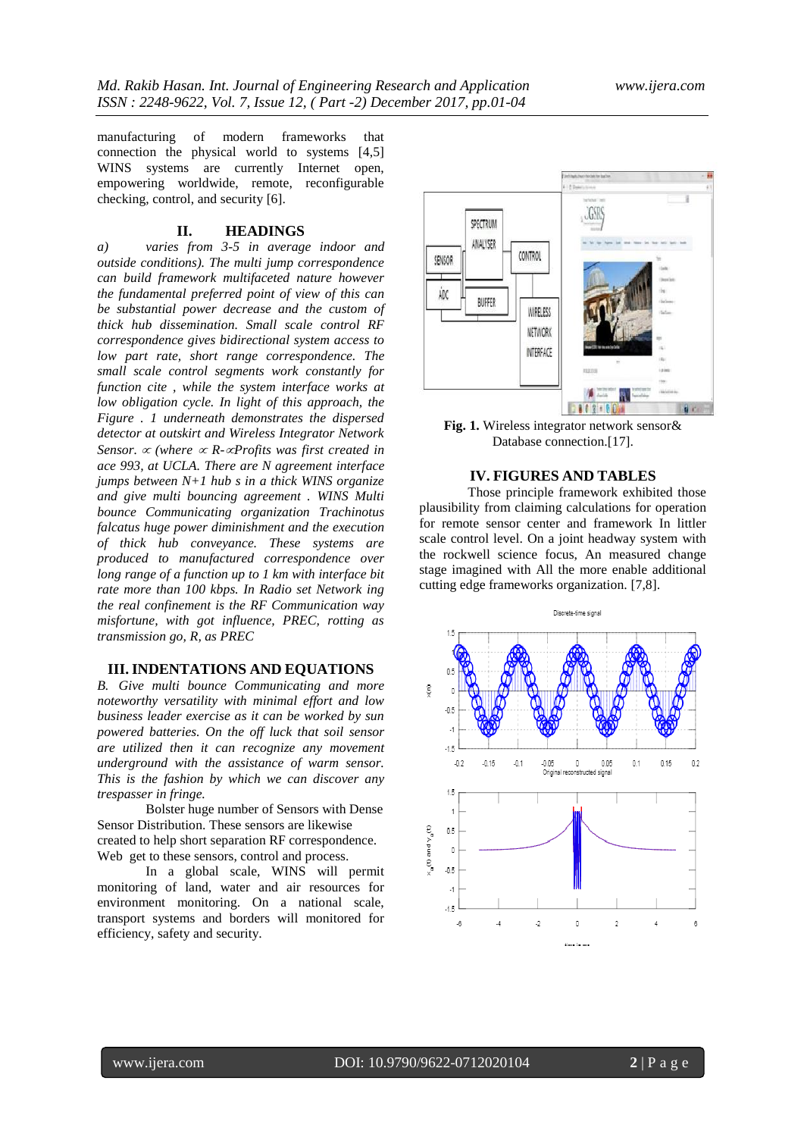manufacturing of modern frameworks that connection the physical world to systems [4,5] WINS systems are currently Internet open, empowering worldwide, remote, reconfigurable checking, control, and security [6].

### **II. HEADINGS**

*a) varies from 3-5 in average indoor and outside conditions). The multi jump correspondence can build framework multifaceted nature however the fundamental preferred point of view of this can be substantial power decrease and the custom of thick hub dissemination. Small scale control RF correspondence gives bidirectional system access to low part rate, short range correspondence. The small scale control segments work constantly for function cite , while the system interface works at low obligation cycle. In light of this approach, the Figure . 1 underneath demonstrates the dispersed detector at outskirt and Wireless Integrator Network Sensor.*  $\propto$  (where  $\propto$  *R*- $\propto$ *Profits was first created in ace 993, at UCLA. There are N agreement interface jumps between N+1 hub s in a thick WINS organize and give multi bouncing agreement . WINS Multi bounce Communicating organization Trachinotus falcatus huge power diminishment and the execution of thick hub conveyance. These systems are produced to manufactured correspondence over long range of a function up to 1 km with interface bit rate more than 100 kbps. In Radio set Network ing the real confinement is the RF Communication way misfortune, with got influence, PREC, rotting as transmission go, R, as PREC* 

## **III. INDENTATIONS AND EQUATIONS**

*B. Give multi bounce Communicating and more noteworthy versatility with minimal effort and low business leader exercise as it can be worked by sun powered batteries. On the off luck that soil sensor are utilized then it can recognize any movement underground with the assistance of warm sensor. This is the fashion by which we can discover any trespasser in fringe.*

Bolster huge number of Sensors with Dense Sensor Distribution. These sensors are likewise created to help short separation RF correspondence. Web get to these sensors, control and process.

In a global scale, WINS will permit monitoring of land, water and air resources for environment monitoring. On a national scale, transport systems and borders will monitored for efficiency, safety and security.



**Fig. 1.** Wireless integrator network sensor& Database connection.[17].

## **IV. FIGURES AND TABLES**

Those principle framework exhibited those plausibility from claiming calculations for operation for remote sensor center and framework In littler scale control level. On a joint headway system with the rockwell science focus, An measured change stage imagined with All the more enable additional cutting edge frameworks organization. [7,8].

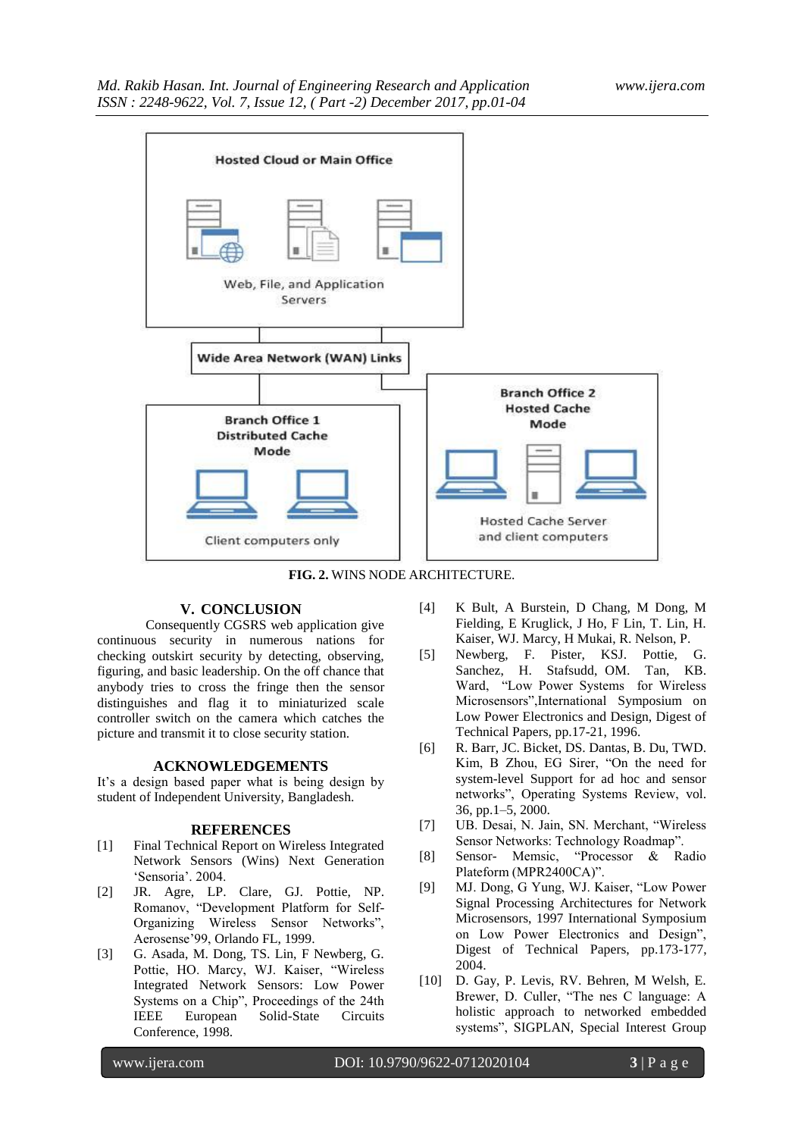

**FIG. 2.** WINS NODE ARCHITECTURE.

## **V. CONCLUSION**

Consequently CGSRS web application give continuous security in numerous nations for checking outskirt security by detecting, observing, figuring, and basic leadership. On the off chance that anybody tries to cross the fringe then the sensor distinguishes and flag it to miniaturized scale controller switch on the camera which catches the picture and transmit it to close security station.

### **ACKNOWLEDGEMENTS**

It's a design based paper what is being design by student of Independent University, Bangladesh.

#### **REFERENCES**

- [1] Final Technical Report on Wireless Integrated Network Sensors (Wins) Next Generation "Sensoria". 2004.
- [2] JR. Agre, LP. Clare, GJ. Pottie, NP. Romanov, "Development Platform for Self-Organizing Wireless Sensor Networks", Aerosense"99, Orlando FL, 1999.
- [3] G. Asada, M. Dong, TS. Lin, F Newberg, G. Pottie, HO. Marcy, WJ. Kaiser, "Wireless Integrated Network Sensors: Low Power Systems on a Chip", Proceedings of the 24th IEEE European Solid-State Circuits Conference, 1998.
- [4] K Bult, A Burstein, D Chang, M Dong, M Fielding, E Kruglick, J Ho, F Lin, T. Lin, H. Kaiser, WJ. Marcy, H Mukai, R. Nelson, P.
- [5] Newberg, F. Pister, KSJ. Pottie, G. Sanchez, H. Stafsudd, OM. Tan, KB. Ward, "Low Power Systems for Wireless Microsensors",International Symposium on Low Power Electronics and Design, Digest of Technical Papers, pp.17-21, 1996.
- [6] R. Barr, JC. Bicket, DS. Dantas, B. Du, TWD. Kim, B Zhou, EG Sirer, "On the need for system-level Support for ad hoc and sensor networks", Operating Systems Review, vol.  $36$ , pp.  $1 - 5$ ,  $2000$ .
- [7] UB. Desai, N. Jain, SN. Merchant, "Wireless Sensor Networks: Technology Roadmap".
- [8] Sensor- Memsic, "Processor & Radio Plateform (MPR2400CA)".
- [9] MJ. Dong, G Yung, WJ. Kaiser, "Low Power Signal Processing Architectures for Network Microsensors, 1997 International Symposium on Low Power Electronics and Design", Digest of Technical Papers, pp.173-177, 2004.
- [10] D. Gay, P. Levis, RV. Behren, M Welsh, E. Brewer, D. Culler, "The nes C language: A holistic approach to networked embedded systems", SIGPLAN, Special Interest Group